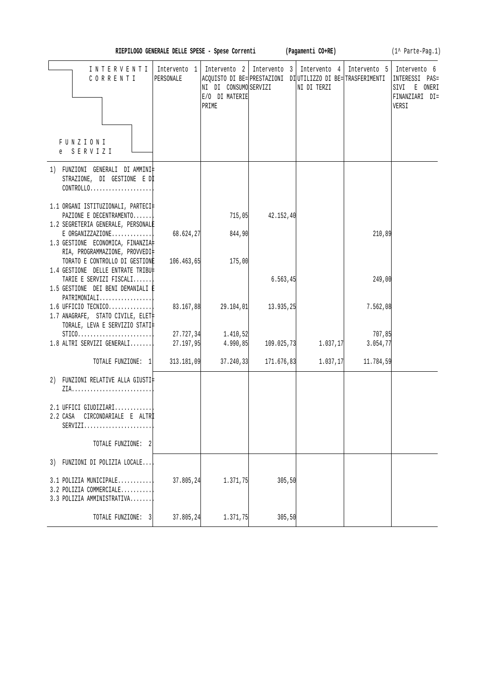| RIEPILOGO GENERALE DELLE SPESE - Spese Corrent |  |  |  |  |  |  |
|------------------------------------------------|--|--|--|--|--|--|
|------------------------------------------------|--|--|--|--|--|--|

**RIEPILOGO GENERALE SPECIES AREALE SPECIES (1^ Parte-Pag.1)** 

| INTERVENTI<br>CORRENTI                                                                              | PERSONALE              | NI DI CONSUMO SERVIZI<br>E/O DI MATERIE<br>PRIME | Intervento 1   Intervento 2   Intervento 3   Intervento 4   Intervento 5   Intervento 6<br>ACQUISTO DI BE= PRESTAZIONI DI UTILIZZO DI BE= TRASFERIMENTI | NI DI TERZI |                     | INTERESSI<br>$PAS =$<br>SIVI<br>E ONERI<br>FINANZIARI DI=<br>VERSI |
|-----------------------------------------------------------------------------------------------------|------------------------|--------------------------------------------------|---------------------------------------------------------------------------------------------------------------------------------------------------------|-------------|---------------------|--------------------------------------------------------------------|
| FUNZIONI<br>e SERVIZI                                                                               |                        |                                                  |                                                                                                                                                         |             |                     |                                                                    |
| 1) FUNZIONI GENERALI DI AMMINI‡<br>STRAZIONE, DI GESTIONE E DI<br>CONTROLLO                         |                        |                                                  |                                                                                                                                                         |             |                     |                                                                    |
| 1.1 ORGANI ISTITUZIONALI, PARTECI‡<br>PAZIONE E DECENTRAMENTO<br>1.2 SEGRETERIA GENERALE, PERSONALE |                        | 715,05                                           | 42.152,40                                                                                                                                               |             |                     |                                                                    |
| $E$ ORGANIZZAZIONE<br>1.3 GESTIONE ECONOMICA, FINANZIA<br>RIA, PROGRAMMAZIONE, PROVVEDI‡            | 68.624,27              | 844,90                                           |                                                                                                                                                         |             | 210,89              |                                                                    |
| TORATO E CONTROLLO DI GESTIONE<br>1.4 GESTIONE DELLE ENTRATE TRIBU‡<br>TARIE E SERVIZI FISCALI      | 106.463,65             | 175,00                                           | 6.563, 45                                                                                                                                               |             | 249,00              |                                                                    |
| 1.5 GESTIONE DEI BENI DEMANIALI E<br>PATRIMONIALI                                                   |                        |                                                  |                                                                                                                                                         |             |                     |                                                                    |
| $1.6$ UFFICIO TECNICO<br>1.7 ANAGRAFE, STATO CIVILE, ELET<br>TORALE, LEVA E SERVIZIO STATI‡         | 83.167,88              | 29.104,01                                        | 13.935,25                                                                                                                                               |             | 7.562,08            |                                                                    |
| $STICO.$<br>1.8 ALTRI SERVIZI GENERALI                                                              | 27.727,34<br>27.197,95 | 1.410,52<br>4.990, 85                            | 109.025,73                                                                                                                                              | 1.037,17    | 707,85<br>3.054, 77 |                                                                    |
| TOTALE FUNZIONE: 1                                                                                  | 313.181,09             | 37.240,33                                        | 171.676,83                                                                                                                                              | 1.037,17    | 11.784,59           |                                                                    |
| 2) FUNZIONI RELATIVE ALLA GIUSTI‡                                                                   |                        |                                                  |                                                                                                                                                         |             |                     |                                                                    |
| 2.1 UFFICI GIUDIZIARI<br>CIRCONDARIALE E ALTRI<br>2.2 CASA<br>$SERVIZI.$                            |                        |                                                  |                                                                                                                                                         |             |                     |                                                                    |
| TOTALE FUNZIONE:<br>-2                                                                              |                        |                                                  |                                                                                                                                                         |             |                     |                                                                    |
| 3) FUNZIONI DI POLIZIA LOCALE                                                                       |                        |                                                  |                                                                                                                                                         |             |                     |                                                                    |
| 3.1 POLIZIA MUNICIPALE<br>3.2 POLIZIA COMMERCIALE<br>3.3 POLIZIA AMMINISTRATIVA                     | 37.805,24              | 1.371,75                                         | 305, 50                                                                                                                                                 |             |                     |                                                                    |
| TOTALE FUNZIONE: 3                                                                                  | 37.805,24              | 1.371,75                                         | 305, 50                                                                                                                                                 |             |                     |                                                                    |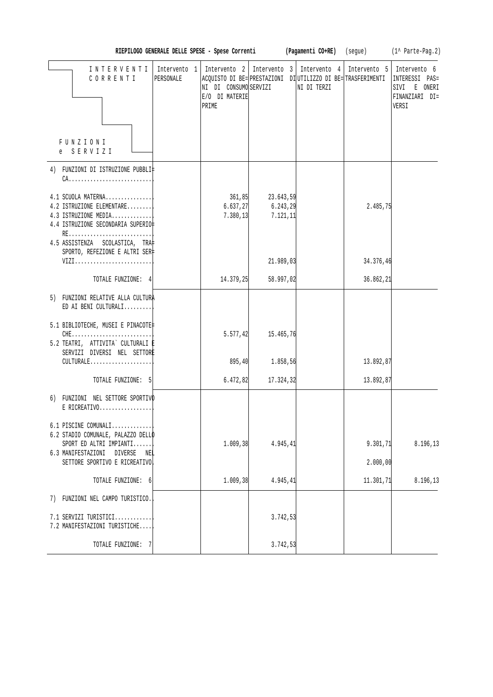| RIEPILOGO GENERALE DELLE SPESE - Spese Corren |  |  |  |  |  |  |
|-----------------------------------------------|--|--|--|--|--|--|
|-----------------------------------------------|--|--|--|--|--|--|

**RIEREE (Regamenti CO+RE)** (segue) (1^ Parte-Pag.2)

| INTERVENTI<br>CORRENTI                                                                                                                                           | Intervento 1<br>PERSONALE | NI DI CONSUMO SERVIZI<br>E/O DI MATERIE<br>PRIME | Intervento 2   Intervento 3   Intervento 4   Intervento 5   Intervento 6<br>ACQUISTO DI BE= PRESTAZIONI DI UTILIZZO DI BE= TRASFERIMENTI | NI DI TERZI |                       | INTERESSI PAS=<br>SIVI E ONERI<br>FINANZIARI DI=<br>VERSI |
|------------------------------------------------------------------------------------------------------------------------------------------------------------------|---------------------------|--------------------------------------------------|------------------------------------------------------------------------------------------------------------------------------------------|-------------|-----------------------|-----------------------------------------------------------|
| FUNZIONI<br>e SERVIZI                                                                                                                                            |                           |                                                  |                                                                                                                                          |             |                       |                                                           |
| 4) FUNZIONI DI ISTRUZIONE PUBBLI‡<br>$CA.$                                                                                                                       |                           |                                                  |                                                                                                                                          |             |                       |                                                           |
| 4.1 SCUOLA MATERNA<br>4.2 ISTRUZIONE ELEMENTARE<br>4.3 ISTRUZIONE MEDIA<br>4.4 ISTRUZIONE SECONDARIA SUPERIO‡                                                    |                           | 361, 85<br>6.637, 27<br>7.380, 13                | 23.643,59<br>6.243, 29<br>7.121, 11                                                                                                      |             | 2.485,75              |                                                           |
| RE<br>4.5 ASSISTENZA SCOLASTICA, TRA<br>SPORTO, REFEZIONE E ALTRI SER‡<br>VIZI                                                                                   |                           |                                                  | 21.989,03                                                                                                                                |             | 34.376,46             |                                                           |
| TOTALE FUNZIONE: 4                                                                                                                                               |                           | 14.379,25                                        | 58.997,02                                                                                                                                |             | 36.862,21             |                                                           |
| 5) FUNZIONI RELATIVE ALLA CULTURA<br>ED AI BENI CULTURALI                                                                                                        |                           |                                                  |                                                                                                                                          |             |                       |                                                           |
| 5.1 BIBLIOTECHE, MUSEI E PINACOTE‡<br>$CHE$<br>5.2 TEATRI, ATTIVITA` CULTURALI E<br>SERVIZI DIVERSI NEL SETTORE                                                  |                           | 5.577, 42                                        | 15.465,76                                                                                                                                |             |                       |                                                           |
| CULTURALE                                                                                                                                                        |                           | 895, 40                                          | 1.858,56                                                                                                                                 |             | 13.892,87             |                                                           |
| TOTALE FUNZIONE: 5                                                                                                                                               |                           | 6.472,82                                         | 17.324,32                                                                                                                                |             | 13.892,87             |                                                           |
| 6) FUNZIONI NEL SETTORE SPORTIVO<br>E RICREATIVO                                                                                                                 |                           |                                                  |                                                                                                                                          |             |                       |                                                           |
| $6.1$ PISCINE COMUNALI<br>6.2 STADIO COMUNALE, PALAZZO DELLO<br>SPORT ED ALTRI IMPIANTI<br>6.3 MANIFESTAZIONI<br>DIVERSE<br>NE‡<br>SETTORE SPORTIVO E RICREATIVO |                           | 1.009, 38                                        | 4.945,41                                                                                                                                 |             | 9.301, 71<br>2.000,00 | 8.196,13                                                  |
|                                                                                                                                                                  |                           |                                                  |                                                                                                                                          |             |                       |                                                           |
| TOTALE FUNZIONE: 6                                                                                                                                               |                           | 1.009, 38                                        | 4.945,41                                                                                                                                 |             | 11.301, 71            | 8.196,13                                                  |
| 7) FUNZIONI NEL CAMPO TURISTICO.                                                                                                                                 |                           |                                                  |                                                                                                                                          |             |                       |                                                           |
| 7.1 SERVIZI TURISTICI<br>7.2 MANIFESTAZIONI TURISTICHE                                                                                                           |                           |                                                  | 3.742,53                                                                                                                                 |             |                       |                                                           |
| TOTALE FUNZIONE:<br>7                                                                                                                                            |                           |                                                  | 3.742,53                                                                                                                                 |             |                       |                                                           |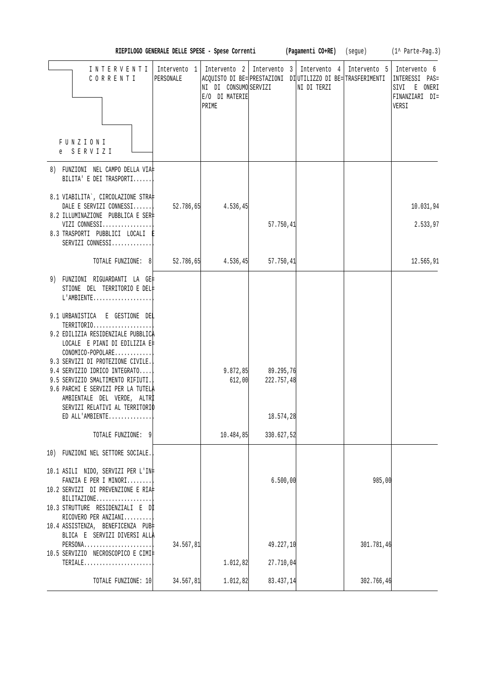| RIEPILOGO GENERALE DELLE SPESE - Spese Corren |  |  |  |  |  |  |
|-----------------------------------------------|--|--|--|--|--|--|
|-----------------------------------------------|--|--|--|--|--|--|

**RIEREE (Pagamenti CO+RE)** (segue) (1^ Parte-Pag.3)

| INTERVENTI   Intervento 1   Intervento 2   Intervento 3   Intervento 4   Intervento 5   Intervento 6<br>CORRENTI<br>FUNZIONI<br>e SERVIZI                                                                                                                                                                                                                                                                                                                                             | PERSONALE | ACQUISTO DI BE= PRESTAZIONI DI UTILIZZO DI BE= TRASFERIMENTI<br>NI DI CONSUMO SERVIZI<br>E/O DI MATERIE<br>PRIME |                                                                   | NI DI TERZI |            | INTERESSI PAS=<br>SIVI E ONERI<br>FINANZIARI DI=<br>VERSI |
|---------------------------------------------------------------------------------------------------------------------------------------------------------------------------------------------------------------------------------------------------------------------------------------------------------------------------------------------------------------------------------------------------------------------------------------------------------------------------------------|-----------|------------------------------------------------------------------------------------------------------------------|-------------------------------------------------------------------|-------------|------------|-----------------------------------------------------------|
| 8) FUNZIONI NEL CAMPO DELLA VIA‡<br>BILITA' E DEI TRASPORTI                                                                                                                                                                                                                                                                                                                                                                                                                           |           |                                                                                                                  |                                                                   |             |            |                                                           |
| 8.1 VIABILITA`, CIRCOLAZIONE STRA‡<br>DALE E SERVIZI CONNESSI<br>8.2 ILLUMINAZIONE PUBBLICA E SER‡<br>VIZI CONNESSI<br>8.3 TRASPORTI PUBBLICI LOCALI E<br>SERVIZI CONNESSI                                                                                                                                                                                                                                                                                                            | 52.786,65 | 4.536, 45                                                                                                        | 57.750,41                                                         |             |            | 10.031,94<br>2.533,97                                     |
| TOTALE FUNZIONE: $8$ 52.786,65                                                                                                                                                                                                                                                                                                                                                                                                                                                        |           | 4.536, 45                                                                                                        | 57.750,41                                                         |             |            | 12.565,91                                                 |
| 9) FUNZIONI RIGUARDANTI LA GE‡<br>STIONE DEL TERRITORIO E DEL‡<br>$L'AMBIENTE$<br>9.1 URBANISTICA E GESTIONE DEL<br>TERRITORIO<br>9.2 EDILIZIA RESIDENZIALE PUBBLICA<br>LOCALE E PIANI DI EDILIZIA E‡<br>CONOMICO-POPOLARE<br>9.3 SERVIZI DI PROTEZIONE CIVILE.<br>9.4 SERVIZIO IDRICO INTEGRATO<br>9.5 SERVIZIO SMALTIMENTO RIFIUTI.<br>9.6 PARCHI E SERVIZI PER LA TUTELA<br>AMBIENTALE DEL VERDE, ALTRI<br>SERVIZI RELATIVI AL TERRITORIO<br>ED ALL'AMBIENTE<br>TOTALE FUNZIONE: 9 |           | 612,00<br>10.484,85                                                                                              | $9.872, 85$ $89.295, 76$<br>222.757,48<br>18.574,28<br>330.627,52 |             |            |                                                           |
| 10) FUNZIONI NEL SETTORE SOCIALE.                                                                                                                                                                                                                                                                                                                                                                                                                                                     |           |                                                                                                                  |                                                                   |             |            |                                                           |
| 10.1 ASILI NIDO, SERVIZI PER L'IN‡<br>FANZIA E PER I MINORI<br>10.2 SERVIZI DI PREVENZIONE E RIA‡<br>BILITAZIONE<br>10.3 STRUTTURE RESIDENZIALI E DI<br>RICOVERO PER ANZIANI<br>10.4 ASSISTENZA, BENEFICENZA PUB‡                                                                                                                                                                                                                                                                     |           |                                                                                                                  | 6.500,00                                                          |             | 985,00     |                                                           |
| BLICA E SERVIZI DIVERSI ALLA<br>PERSONA<br>10.5 SERVIZIO NECROSCOPICO E CIMI‡                                                                                                                                                                                                                                                                                                                                                                                                         | 34.567,81 |                                                                                                                  | 49.227,10                                                         |             | 301.781,46 |                                                           |
| TERIALE                                                                                                                                                                                                                                                                                                                                                                                                                                                                               |           | 1.012,82                                                                                                         | 27.710,04                                                         |             |            |                                                           |
| TOTALE FUNZIONE: 10                                                                                                                                                                                                                                                                                                                                                                                                                                                                   | 34.567,81 | 1.012,82                                                                                                         | 83.437,14                                                         |             | 302.766,46 |                                                           |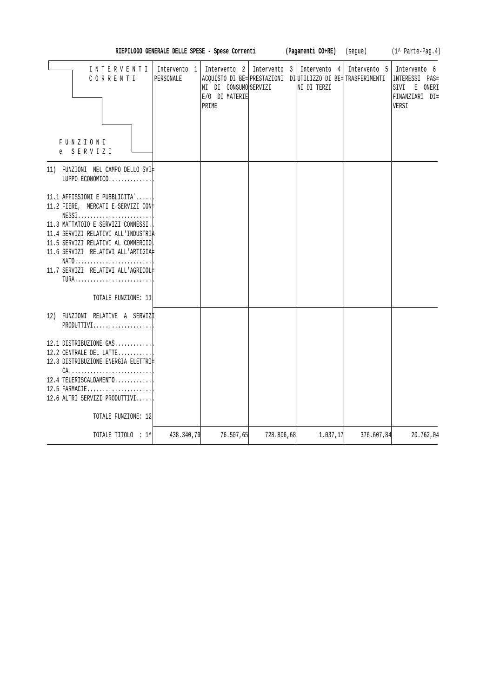| RIEPILOGO GENERALE DELLE SPESE - Spese Corrent |  |  |  |  |  |  |
|------------------------------------------------|--|--|--|--|--|--|
|------------------------------------------------|--|--|--|--|--|--|

**RIEREE (Pagamenti CO+RE)** (segue) (1^ Parte-Pag.4)

| INTERVENTI<br>CORRENTI<br><b>FUNZIONI</b><br>e SERVIZI                                                                                                                                                                                                                                                                | PERSONALE  | NI DI CONSUMO SERVIZI<br>E/O DI MATERIE<br>PRIME |            | 1 Intervento 1   Intervento 2   Intervento 3   Intervento 4   Intervento 5   Intervento 6<br>ACOUISTO DI BE= PRESTAZIONI DI UTILIZZO DI BE= TRASFERIMENTI<br>NI DI TERZI |            | INTERESSI PAS=<br>SIVI<br>E ONERI<br>FINANZIARI DI=<br>VERSI |
|-----------------------------------------------------------------------------------------------------------------------------------------------------------------------------------------------------------------------------------------------------------------------------------------------------------------------|------------|--------------------------------------------------|------------|--------------------------------------------------------------------------------------------------------------------------------------------------------------------------|------------|--------------------------------------------------------------|
| 11) FUNZIONI NEL CAMPO DELLO SVI‡<br>LUPPO ECONOMICO                                                                                                                                                                                                                                                                  |            |                                                  |            |                                                                                                                                                                          |            |                                                              |
| 11.1 AFFISSIONI E PUBBLICITA`<br>11.2 FIERE, MERCATI E SERVIZI CON#<br>$NESS1.$<br>11.3 MATTATOIO E SERVIZI CONNESSI.<br>11.4 SERVIZI RELATIVI ALL'INDUSTRIA<br>11.5 SERVIZI RELATIVI AL COMMERCIO<br>11.6 SERVIZI RELATIVI ALL'ARTIGIA#<br>NATO<br>11.7 SERVIZI RELATIVI ALL'AGRICOL#<br>TURA<br>TOTALE FUNZIONE: 11 |            |                                                  |            |                                                                                                                                                                          |            |                                                              |
| 12) FUNZIONI RELATIVE A SERVIZI<br>PRODUTTIVI                                                                                                                                                                                                                                                                         |            |                                                  |            |                                                                                                                                                                          |            |                                                              |
| 12.1 DISTRIBUZIONE GAS<br>12.2 CENTRALE DEL LATTE<br>12.3 DISTRIBUZIONE ENERGIA ELETTRI#<br>$CA.$<br>12.4 TELERISCALDAMENTO<br>12.5 FARMACIE<br>12.6 ALTRI SERVIZI PRODUTTIVI                                                                                                                                         |            |                                                  |            |                                                                                                                                                                          |            |                                                              |
| TOTALE FUNZIONE: 12                                                                                                                                                                                                                                                                                                   |            |                                                  |            |                                                                                                                                                                          |            |                                                              |
| TOTALE TITOLO : 1^                                                                                                                                                                                                                                                                                                    | 438.340,79 | 76.507,65                                        | 728.806,68 | 1.037,17                                                                                                                                                                 | 376.607,84 | 20.762,04                                                    |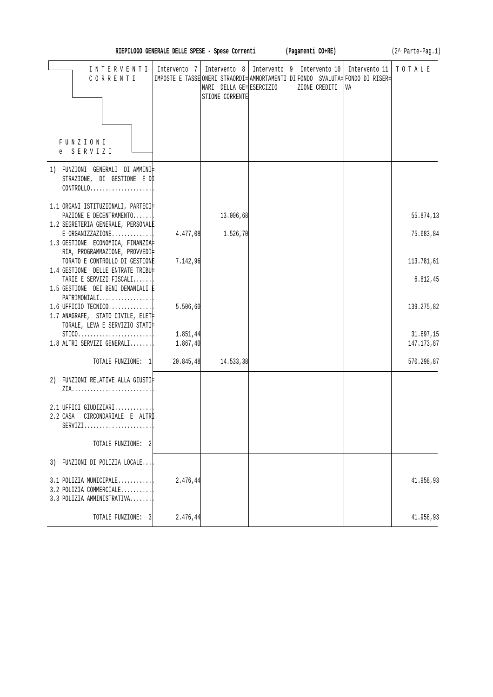|                                                                                                                   | RIEPILOGO GENERALE DELLE SPESE - Spese Correnti (Pagamenti CO+RE) |                                                                                        |                                                                                                                   |                     | (2^ Parte-Pag.1)        |
|-------------------------------------------------------------------------------------------------------------------|-------------------------------------------------------------------|----------------------------------------------------------------------------------------|-------------------------------------------------------------------------------------------------------------------|---------------------|-------------------------|
| I N T E R V E N T I  <br>CORRENTI                                                                                 | Intervento 7                                                      | Intervento $8 \mid$ Intervento $9 \mid$<br>NARI DELLA GE= ESERCIZIO<br>STIONE CORRENTE | Intervento 10<br> IMPOSTE E TASSE ONERI STRAORDI= AMMORTAMENTI DI FONDO SVALUTA= FONDO DI RISER=<br>ZIONE CREDITI | Intervento 11<br>VA | TOTALE                  |
| FUNZIONI<br>e SERVIZI                                                                                             |                                                                   |                                                                                        |                                                                                                                   |                     |                         |
| 1) FUNZIONI GENERALI DI AMMINI‡<br>STRAZIONE, DI GESTIONE E DI<br>$CONTROLLO. \ldots \ldots \ldots \ldots \ldots$ |                                                                   |                                                                                        |                                                                                                                   |                     |                         |
| 1.1 ORGANI ISTITUZIONALI, PARTECI‡                                                                                |                                                                   |                                                                                        |                                                                                                                   |                     |                         |
| PAZIONE E DECENTRAMENTO<br>1.2 SEGRETERIA GENERALE, PERSONALE                                                     |                                                                   | 13.006,68                                                                              |                                                                                                                   |                     | 55.874,13               |
| $E$ ORGANIZZAZIONE<br>1.3 GESTIONE ECONOMICA, FINANZIA                                                            | 4.477,08                                                          | 1.526, 70                                                                              |                                                                                                                   |                     | 75.683,84               |
| RIA, PROGRAMMAZIONE, PROVVEDI‡<br>TORATO E CONTROLLO DI GESTIONE                                                  | 7.142,96                                                          |                                                                                        |                                                                                                                   |                     | 113.781,61              |
| 1.4 GESTIONE DELLE ENTRATE TRIBU‡<br>TARIE E SERVIZI FISCALI<br>1.5 GESTIONE DEI BENI DEMANIALI È                 |                                                                   |                                                                                        |                                                                                                                   |                     | 6.812,45                |
| $PATHIMONIALI$<br>$1.6$ UFFICIO TECNICO<br>1.7 ANAGRAFE, STATO CIVILE, ELET‡<br>TORALE, LEVA E SERVIZIO STATI‡    | 5.506,60                                                          |                                                                                        |                                                                                                                   |                     | 139.275,82              |
| $STICO. \ldots \ldots \ldots \ldots \ldots \ldots \ldots$<br>$1.8$ ALTRI SERVIZI GENERALI                         | 1.851,44<br>1.867,40                                              |                                                                                        |                                                                                                                   |                     | 31.697,15<br>147.173,87 |
| TOTALE FUNZIONE: 1                                                                                                | 20.845,48                                                         | 14.533,38                                                                              |                                                                                                                   |                     | 570.298,87              |
| 2) FUNZIONI RELATIVE ALLA GIUSTI‡                                                                                 |                                                                   |                                                                                        |                                                                                                                   |                     |                         |
| 2.1 UFFICI GIUDIZIARI<br>2.2 CASA<br>CIRCONDARIALE E ALTRİ<br>$SERVIZI.$                                          |                                                                   |                                                                                        |                                                                                                                   |                     |                         |
| TOTALE FUNZIONE: 2                                                                                                |                                                                   |                                                                                        |                                                                                                                   |                     |                         |
| 3) FUNZIONI DI POLIZIA LOCALE                                                                                     |                                                                   |                                                                                        |                                                                                                                   |                     |                         |
| 3.1 POLIZIA MUNICIPALE<br>3.2 POLIZIA COMMERCIALE<br>3.3 POLIZIA AMMINISTRATIVA                                   | 2.476,44                                                          |                                                                                        |                                                                                                                   |                     | 41.958,93               |
| TOTALE FUNZIONE: 3                                                                                                | 2.476,44                                                          |                                                                                        |                                                                                                                   |                     | 41.958,93               |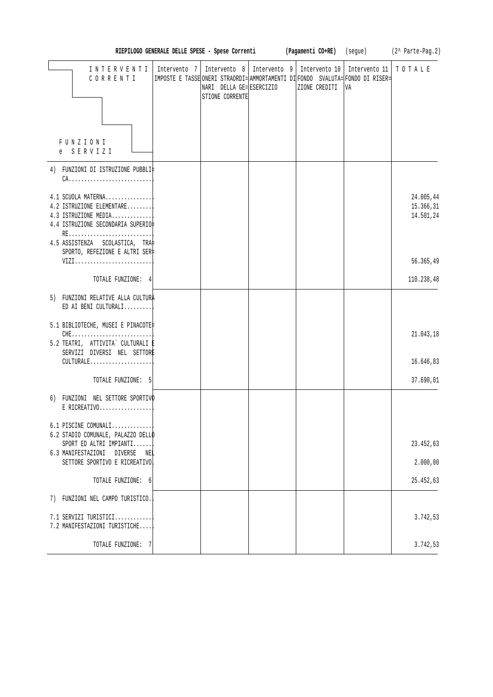|                                                                                                               |                                                                                                | RIEPILOGO GENERALE DELLE SPESE - Spese Correnti                            |  | (Pagamenti CO+RE)              | (segue)             | $(2^{\wedge}$ Parte-Pag. 2)         |
|---------------------------------------------------------------------------------------------------------------|------------------------------------------------------------------------------------------------|----------------------------------------------------------------------------|--|--------------------------------|---------------------|-------------------------------------|
| INTERVENTI<br>CORRENTI<br>FUNZIONI<br>S E R V I Z I<br>e                                                      | Intervento 7<br>IMPOSTE E TASSE ONERI STRAORDI= AMMORTAMENTI DI FONDO SVALUTA= FONDO DI RISER= | Intervento 8   Intervento 9<br>NARI DELLA GE= ESERCIZIO<br>STIONE CORRENTE |  | Intervento 10<br>ZIONE CREDITI | Intervento 11<br>VA | TOTALE                              |
|                                                                                                               |                                                                                                |                                                                            |  |                                |                     |                                     |
| 4) FUNZIONI DI ISTRUZIONE PUBBLI‡                                                                             |                                                                                                |                                                                            |  |                                |                     |                                     |
| 4.1 SCUOLA MATERNA<br>4.2 ISTRUZIONE ELEMENTARE<br>4.3 ISTRUZIONE MEDIA<br>4.4 ISTRUZIONE SECONDARIA SUPERIO‡ |                                                                                                |                                                                            |  |                                |                     | 24.005,44<br>15.366,31<br>14.501,24 |
| 4.5 ASSISTENZA SCOLASTICA, TRA<br>SPORTO, REFEZIONE E ALTRI SER‡                                              |                                                                                                |                                                                            |  |                                |                     |                                     |
| VIZI                                                                                                          |                                                                                                |                                                                            |  |                                |                     | 56.365,49                           |
| TOTALE FUNZIONE: 4                                                                                            |                                                                                                |                                                                            |  |                                |                     | 110.238,48                          |
| 5) FUNZIONI RELATIVE ALLA CULTURA<br>ED AI BENI CULTURALI                                                     |                                                                                                |                                                                            |  |                                |                     |                                     |
| 5.1 BIBLIOTECHE, MUSEI E PINACOTE‡<br>$CHE$<br>5.2 TEATRI, ATTIVITA` CULTURALI E                              |                                                                                                |                                                                            |  |                                |                     | 21.043,18                           |
| SERVIZI DIVERSI NEL SETTORE<br>CULTURALE                                                                      |                                                                                                |                                                                            |  |                                |                     | 16.646,83                           |
| TOTALE FUNZIONE: 5                                                                                            |                                                                                                |                                                                            |  |                                |                     | 37.690,01                           |
| 6) FUNZIONI NEL SETTORE SPORTIVO<br>$E$ RICREATIVO                                                            |                                                                                                |                                                                            |  |                                |                     |                                     |
| 6.1 PISCINE COMUNALI                                                                                          |                                                                                                |                                                                            |  |                                |                     |                                     |
| 6.2 STADIO COMUNALE, PALAZZO DELLO<br>SPORT ED ALTRI IMPIANTI                                                 |                                                                                                |                                                                            |  |                                |                     | 23.452,63                           |
| 6.3 MANIFESTAZIONI DIVERSE NEL<br>SETTORE SPORTIVO E RICREATIVO                                               |                                                                                                |                                                                            |  |                                |                     | 2.000,00                            |
| TOTALE FUNZIONE: 6                                                                                            |                                                                                                |                                                                            |  |                                |                     | 25.452,63                           |
| 7) FUNZIONI NEL CAMPO TURISTICO.                                                                              |                                                                                                |                                                                            |  |                                |                     |                                     |
|                                                                                                               |                                                                                                |                                                                            |  |                                |                     |                                     |
| 7.1 SERVIZI TURISTICI<br>7.2 MANIFESTAZIONI TURISTICHE                                                        |                                                                                                |                                                                            |  |                                |                     | 3.742,53                            |
| TOTALE FUNZIONE: 7                                                                                            |                                                                                                |                                                                            |  |                                |                     | 3.742,53                            |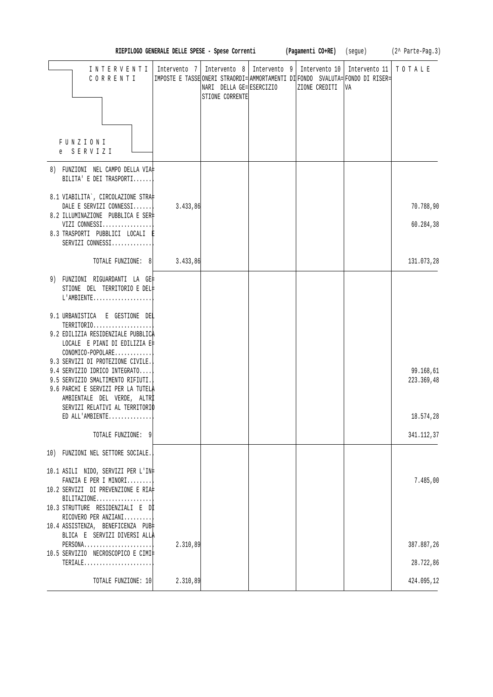|                                                                                                                                         |          |                                                                                                                           |  |               |                                                                                      | RIEPILOGO GENERALE DELLE SPESE - Spese Correnti (Pagamenti CO+RE) (segue) (2^ Parte-Pag.3) |
|-----------------------------------------------------------------------------------------------------------------------------------------|----------|---------------------------------------------------------------------------------------------------------------------------|--|---------------|--------------------------------------------------------------------------------------|--------------------------------------------------------------------------------------------|
| INTERVENTI<br>CORRENTI                                                                                                                  |          | Intervento 7   Intervento 8   Intervento 9   Intervento 10   Intervento 11<br>NARI DELLA GE= ESERCIZIO<br>STIONE CORRENTE |  | ZIONE CREDITI | IMPOSTE E TASSE ONERI STRAORDI= AMMORTAMENTI DI FONDO SVALUTA= FONDO DI RISER=<br>VA | TOTALE                                                                                     |
| FUNZIONI<br>e SERVIZI                                                                                                                   |          |                                                                                                                           |  |               |                                                                                      |                                                                                            |
| 8) FUNZIONI NEL CAMPO DELLA VIA‡<br>BILITA' E DEI TRASPORTI                                                                             |          |                                                                                                                           |  |               |                                                                                      |                                                                                            |
| 8.1 VIABILITA`, CIRCOLAZIONE STRA‡<br>DALE E SERVIZI CONNESSI<br>8.2 ILLUMINAZIONE PUBBLICA E SER‡<br>VIZI CONNESSI                     | 3.433,86 |                                                                                                                           |  |               |                                                                                      | 70.788,90<br>60.284,38                                                                     |
| 8.3 TRASPORTI PUBBLICI LOCALI E<br>SERVIZI CONNESSI                                                                                     |          |                                                                                                                           |  |               |                                                                                      |                                                                                            |
| TOTALE FUNZIONE: 8                                                                                                                      | 3.433,86 |                                                                                                                           |  |               |                                                                                      | 131.073,28                                                                                 |
| 9) FUNZIONI RIGUARDANTI LA GE‡<br>STIONE DEL TERRITORIO E DEL‡<br>L'AMBIENTE                                                            |          |                                                                                                                           |  |               |                                                                                      |                                                                                            |
| 9.1 URBANISTICA E GESTIONE DEL<br>TERRITORIO<br>9.2 EDILIZIA RESIDENZIALE PUBBLICA                                                      |          |                                                                                                                           |  |               |                                                                                      |                                                                                            |
| LOCALE E PIANI DI EDILIZIA E‡<br>CONOMICO-POPOLARE<br>9.3 SERVIZI DI PROTEZIONE CIVILE.                                                 |          |                                                                                                                           |  |               |                                                                                      |                                                                                            |
| 9.4 SERVIZIO IDRICO INTEGRATO<br>9.5 SERVIZIO SMALTIMENTO RIFIUTI.<br>9.6 PARCHI E SERVIZI PER LA TUTELÀ<br>AMBIENTALE DEL VERDE, ALTRI |          |                                                                                                                           |  |               |                                                                                      | 99.168,61<br>223.369,48                                                                    |
| SERVIZI RELATIVI AL TERRITORIO<br>ED ALL'AMBIENTE                                                                                       |          |                                                                                                                           |  |               |                                                                                      | 18.574,28                                                                                  |
| TOTALE FUNZIONE: 9                                                                                                                      |          |                                                                                                                           |  |               |                                                                                      | 341.112,37                                                                                 |
| 10) FUNZIONI NEL SETTORE SOCIALE.                                                                                                       |          |                                                                                                                           |  |               |                                                                                      |                                                                                            |
| 10.1 ASILI NIDO, SERVIZI PER L'IN‡<br>FANZIA E PER I MINORI<br>10.2 SERVIZI DI PREVENZIONE E RIA#<br>BILITAZIONE                        |          |                                                                                                                           |  |               |                                                                                      | 7.485,00                                                                                   |
| 10.3 STRUTTURE RESIDENZIALI E Dİ<br>RICOVERO PER ANZIANI<br>10.4 ASSISTENZA, BENEFICENZA PUB‡                                           |          |                                                                                                                           |  |               |                                                                                      |                                                                                            |
| BLICA E SERVIZI DIVERSI ALLA<br>PERSONA<br>10.5 SERVIZIO NECROSCOPICO E CIMI‡                                                           | 2.310,89 |                                                                                                                           |  |               |                                                                                      | 387.887,26                                                                                 |
| TERIALE                                                                                                                                 |          |                                                                                                                           |  |               |                                                                                      | 28.722,86                                                                                  |
| TOTALE FUNZIONE: 10                                                                                                                     | 2.310,89 |                                                                                                                           |  |               |                                                                                      | 424.095,12                                                                                 |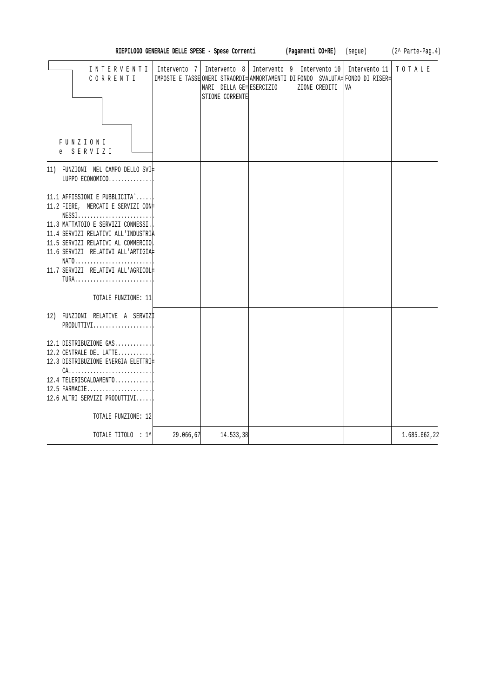| RIEPILOGO GENERALE DELLE SPESE - Spese Correnti                                                                                                                                                                                                                                                                      |              |                                                                              |  | (Pagamenti CO+RE) |                                | (segue)                                                                                               | (2^ Parte-Pag.4) |
|----------------------------------------------------------------------------------------------------------------------------------------------------------------------------------------------------------------------------------------------------------------------------------------------------------------------|--------------|------------------------------------------------------------------------------|--|-------------------|--------------------------------|-------------------------------------------------------------------------------------------------------|------------------|
| INTERVENTI<br>CORRENTI<br>FUNZIONI<br>SERVIZI<br>e                                                                                                                                                                                                                                                                   | Intervento 7 | Intervento 8   Intervento 9  <br>NARI DELLA GE= ESERCIZIO<br>STIONE CORRENTE |  |                   | Intervento 10<br>ZIONE CREDITI | Intervento 11<br>IMPOSTE E TASSE ONERI STRAORDI= AMMORTAMENTI DI FONDO SVALUTA= FONDO DI RISER=<br>VA | TOTALE           |
| 11) FUNZIONI NEL CAMPO DELLO SVI‡<br>LUPPO ECONOMICO                                                                                                                                                                                                                                                                 |              |                                                                              |  |                   |                                |                                                                                                       |                  |
| 11.1 AFFISSIONI E PUBBLICITA`<br>11.2 FIERE, MERCATI E SERVIZI CON+<br>$NESS1$<br>11.3 MATTATOIO E SERVIZI CONNESSI.<br>11.4 SERVIZI RELATIVI ALL'INDUSTRIA<br>11.5 SERVIZI RELATIVI AL COMMERCIO<br>11.6 SERVIZI RELATIVI ALL'ARTIGIA#<br>NATO<br>11.7 SERVIZI RELATIVI ALL'AGRICOL#<br>TURA<br>TOTALE FUNZIONE: 11 |              |                                                                              |  |                   |                                |                                                                                                       |                  |
| 12) FUNZIONI RELATIVE A SERVIZI<br>PRODUTTIVI                                                                                                                                                                                                                                                                        |              |                                                                              |  |                   |                                |                                                                                                       |                  |
| 12.1 DISTRIBUZIONE GAS<br>12.2 CENTRALE DEL LATTE<br>12.3 DISTRIBUZIONE ENERGIA ELETTRI<br>$CA.$<br>12.4 TELERISCALDAMENTO<br>12.5 FARMACIE<br>12.6 ALTRI SERVIZI PRODUTTIVI<br>TOTALE FUNZIONE: 12                                                                                                                  |              |                                                                              |  |                   |                                |                                                                                                       |                  |
| TOTALE TITOLO : 1^                                                                                                                                                                                                                                                                                                   | 29.066,67    | 14.533,38                                                                    |  |                   |                                |                                                                                                       | 1.685.662,22     |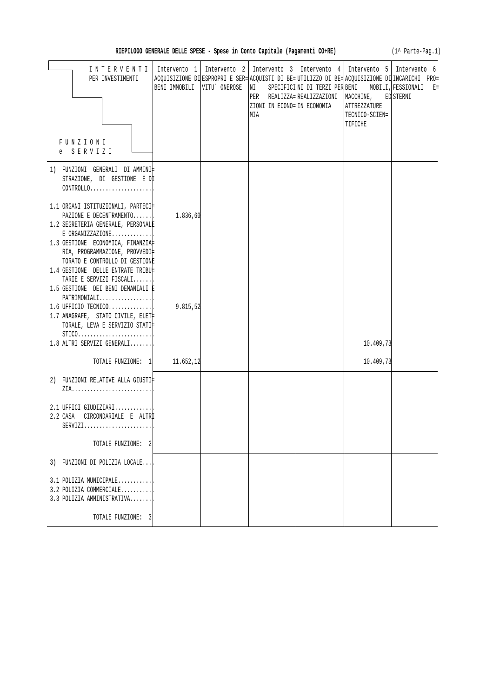|  |  |  |  |  |  |  |  |  | RIEPILOGO GENERALE DELLE SPESE - Spese in Conto Capitale (Pagamenti CO+RE) |  |
|--|--|--|--|--|--|--|--|--|----------------------------------------------------------------------------|--|
|--|--|--|--|--|--|--|--|--|----------------------------------------------------------------------------|--|

(1^ Parte-Pag.1)

| INTERVENTI<br>PER INVESTIMENTI                                                                                                                                                        | BENI IMMOBILI   VITU` ONEROSE | Intervento 1   Intervento 2   Intervento 3   Intervento 4   Intervento 5   Intervento 6<br>ACQUISIZIONE DI ESPROPRI E SER= ACQUISTI DI BE= UTILIZZO DI BE= ACQUISIZIONE DI INCARICHI PRO=<br>NI SPECIFICINI DI TERZI PER BENI MOBILI, FESSIONALI E=<br>ZIONI IN ECONO= IN ECONOMIA<br>MIA | PER REALIZZA= REALIZZAZIONI MACCHINE, ED STERNI | <b>ATTREZZATURE</b><br>TECNICO-SCIEN=<br>TIFICHE |  |
|---------------------------------------------------------------------------------------------------------------------------------------------------------------------------------------|-------------------------------|-------------------------------------------------------------------------------------------------------------------------------------------------------------------------------------------------------------------------------------------------------------------------------------------|-------------------------------------------------|--------------------------------------------------|--|
| FUNZIONI<br>e SERVIZI                                                                                                                                                                 |                               |                                                                                                                                                                                                                                                                                           |                                                 |                                                  |  |
| 1) FUNZIONI GENERALI DIAMMINI‡<br>STRAZIONE, DI GESTIONE E DI                                                                                                                         |                               |                                                                                                                                                                                                                                                                                           |                                                 |                                                  |  |
| 1.1 ORGANI ISTITUZIONALI, PARTECI‡<br>PAZIONE E DECENTRAMENTO<br>1.2 SEGRETERIA GENERALE, PERSONALE<br>$E$ ORGANIZZAZIONE<br>1.3 GESTIONE ECONOMICA, FINANZIA                         | 1.836,60                      |                                                                                                                                                                                                                                                                                           |                                                 |                                                  |  |
| RIA, PROGRAMMAZIONE, PROVVEDI‡<br>TORATO E CONTROLLO DI GESTIONE<br>1.4 GESTIONE DELLE ENTRATE TRIBU‡<br>TARIE E SERVIZI FISCALI<br>1.5 GESTIONE DEI BENI DEMANIALI È<br>PATHIMONIALI |                               |                                                                                                                                                                                                                                                                                           |                                                 |                                                  |  |
| 1.6 UFFICIO TECNICO<br>1.7 ANAGRAFE, STATO CIVILE, ELET<br>TORALE, LEVA E SERVIZIO STATI‡<br>$STICO.$                                                                                 | 9.815,52                      |                                                                                                                                                                                                                                                                                           |                                                 |                                                  |  |
| 1.8 ALTRI SERVIZI GENERALI                                                                                                                                                            |                               |                                                                                                                                                                                                                                                                                           |                                                 | 10.409,73                                        |  |
| TOTALE FUNZIONE: 1 11.652,12                                                                                                                                                          |                               |                                                                                                                                                                                                                                                                                           |                                                 | 10.409,73                                        |  |
| 2) FUNZIONI RELATIVE ALLA GIUSTI‡                                                                                                                                                     |                               |                                                                                                                                                                                                                                                                                           |                                                 |                                                  |  |
| 2.1 UFFICI GIUDIZIARI<br>2.2 CASA CIRCONDARIALE E ALTRI<br>SERVIZI                                                                                                                    |                               |                                                                                                                                                                                                                                                                                           |                                                 |                                                  |  |
| TOTALE FUNZIONE: 2                                                                                                                                                                    |                               |                                                                                                                                                                                                                                                                                           |                                                 |                                                  |  |
| 3) FUNZIONI DI POLIZIA LOCALE                                                                                                                                                         |                               |                                                                                                                                                                                                                                                                                           |                                                 |                                                  |  |
| 3.1 POLIZIA MUNICIPALE<br>3.2 POLIZIA COMMERCIALE<br>3.3 POLIZIA AMMINISTRATIVA                                                                                                       |                               |                                                                                                                                                                                                                                                                                           |                                                 |                                                  |  |
| TOTALE FUNZIONE: 3                                                                                                                                                                    |                               |                                                                                                                                                                                                                                                                                           |                                                 |                                                  |  |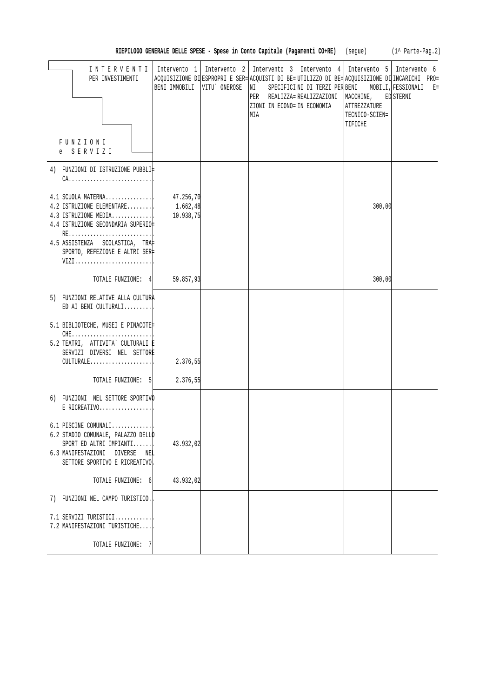|  | RIEPILOGO GENERALE DELLE SPESE - Spese in Conto Capitale (Pagamenti CO+RE) |  |  | (seque) | $(1^{\wedge}$ Parte-Pag. 2) |
|--|----------------------------------------------------------------------------|--|--|---------|-----------------------------|
|--|----------------------------------------------------------------------------|--|--|---------|-----------------------------|

| INTERVENTI                         | Intervento 1                  | Intervento 2   Intervento 3   Intervento 4   Intervento 5   Intervento 6                       |                            |                     |                                                     |
|------------------------------------|-------------------------------|------------------------------------------------------------------------------------------------|----------------------------|---------------------|-----------------------------------------------------|
| PER INVESTIMENTI                   |                               | ACQUISIZIONE DI ESPROPRI E SER= ACQUISTI DI BE= UTILIZZO DI BE= ACQUISIZIONE DI INCARICHI PRO= |                            |                     |                                                     |
|                                    | BENI IMMOBILI   VITU` ONEROSE | NI                                                                                             |                            |                     | SPECIFICINI DI TERZI PER BENI MOBILI, FESSIONALI E= |
|                                    |                               |                                                                                                | PER REALIZZA=REALIZZAZIONI | MACCHINE, ED STERNI |                                                     |
|                                    |                               | ZIONI IN ECONO= IN ECONOMIA                                                                    |                            | ATTREZZATURE        |                                                     |
|                                    |                               | MIA                                                                                            |                            | TECNICO-SCIEN=      |                                                     |
|                                    |                               |                                                                                                |                            | TIFICHE             |                                                     |
|                                    |                               |                                                                                                |                            |                     |                                                     |
| FUNZIONI                           |                               |                                                                                                |                            |                     |                                                     |
| e SERVIZI                          |                               |                                                                                                |                            |                     |                                                     |
|                                    |                               |                                                                                                |                            |                     |                                                     |
| 4) FUNZIONI DI ISTRUZIONE PUBBLI‡  |                               |                                                                                                |                            |                     |                                                     |
|                                    |                               |                                                                                                |                            |                     |                                                     |
|                                    |                               |                                                                                                |                            |                     |                                                     |
| $4.1$ SCUOLA MATERNA               | 47.256,70                     |                                                                                                |                            |                     |                                                     |
| 4.2 ISTRUZIONE ELEMENTARE          | 1.662,48                      |                                                                                                |                            | 300,00              |                                                     |
| 4.3 ISTRUZIONE MEDIA               | 10.938,75                     |                                                                                                |                            |                     |                                                     |
| 4.4 ISTRUZIONE SECONDARIA SUPERIO‡ |                               |                                                                                                |                            |                     |                                                     |
|                                    |                               |                                                                                                |                            |                     |                                                     |
| 4.5 ASSISTENZA SCOLASTICA, TRA‡    |                               |                                                                                                |                            |                     |                                                     |
| SPORTO, REFEZIONE E ALTRI SER‡     |                               |                                                                                                |                            |                     |                                                     |
| VIZI                               |                               |                                                                                                |                            |                     |                                                     |
|                                    |                               |                                                                                                |                            |                     |                                                     |
| TOTALE FUNZIONE: 4 59.857,93       |                               |                                                                                                |                            | 300,00              |                                                     |
|                                    |                               |                                                                                                |                            |                     |                                                     |
| 5) FUNZIONI RELATIVE ALLA CULTURA  |                               |                                                                                                |                            |                     |                                                     |
| ED AI BENI CULTURALI               |                               |                                                                                                |                            |                     |                                                     |
|                                    |                               |                                                                                                |                            |                     |                                                     |
| 5.1 BIBLIOTECHE, MUSEI E PINACOTE‡ |                               |                                                                                                |                            |                     |                                                     |
| $CHE$                              |                               |                                                                                                |                            |                     |                                                     |
| 5.2 TEATRI, ATTIVITA` CULTURALI E  |                               |                                                                                                |                            |                     |                                                     |
| SERVIZI DIVERSI NEL SETTORE        |                               |                                                                                                |                            |                     |                                                     |
| $CULTURALE.$                       | 2.376,55                      |                                                                                                |                            |                     |                                                     |
|                                    |                               |                                                                                                |                            |                     |                                                     |
| TOTALE FUNZIONE: 5                 | 2.376,55                      |                                                                                                |                            |                     |                                                     |
|                                    |                               |                                                                                                |                            |                     |                                                     |
| 6) FUNZIONI NEL SETTORE SPORTIVO   |                               |                                                                                                |                            |                     |                                                     |
| $E$ RICREATIVO                     |                               |                                                                                                |                            |                     |                                                     |
|                                    |                               |                                                                                                |                            |                     |                                                     |
| $6.1$ PISCINE COMUNALI             |                               |                                                                                                |                            |                     |                                                     |
| 6.2 STADIO COMUNALE, PALAZZO DELLO |                               |                                                                                                |                            |                     |                                                     |
| $SPORT$ ED ALTRI IMPIANTI          | 43.932,02                     |                                                                                                |                            |                     |                                                     |
| 6.3 MANIFESTAZIONI DIVERSE NEL     |                               |                                                                                                |                            |                     |                                                     |
| SETTORE SPORTIVO E RICREATIVO      |                               |                                                                                                |                            |                     |                                                     |
|                                    |                               |                                                                                                |                            |                     |                                                     |
| TOTALE FUNZIONE: 6                 | 43.932,02                     |                                                                                                |                            |                     |                                                     |
|                                    |                               |                                                                                                |                            |                     |                                                     |
| 7) FUNZIONI NEL CAMPO TURISTICO.   |                               |                                                                                                |                            |                     |                                                     |
|                                    |                               |                                                                                                |                            |                     |                                                     |
| $7.1$ SERVIZI TURISTICI            |                               |                                                                                                |                            |                     |                                                     |
| 7.2 MANIFESTAZIONI TURISTICHE      |                               |                                                                                                |                            |                     |                                                     |
|                                    |                               |                                                                                                |                            |                     |                                                     |
| TOTALE FUNZIONE: 7                 |                               |                                                                                                |                            |                     |                                                     |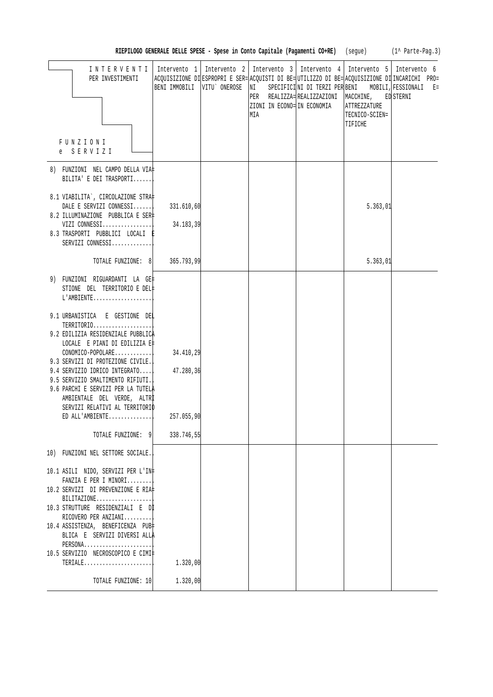| (1^ Parte-Pag.3) |  |
|------------------|--|
|------------------|--|

| INTERVENTI   Intervento 1   Intervento 2   Intervento 3   Intervento 4   Intervento 5   Intervento 6<br>PER INVESTIMENTI                                                                                                                                                                                                                                                                                | BENI IMMOBILI VITU' ONEROSE                        | ACQUISIZIONE DI ESPROPRI E SER= ACQUISTI DI BE= UTILIZZO DI BE= ACQUISIZIONE DI INCARICHI PRO=<br>NI<br>ZIONI IN ECONO= IN ECONOMIA<br>MIA | PER REALIZZA= REALIZZAZIONI MACCHINE, ED STERNI<br>ATTREZZATURE<br>TECNICO-SCIEN=<br>TIFICHE | SPECIFICINI DI TERZI PER BENI MOBILI, FESSIONALI E= |
|---------------------------------------------------------------------------------------------------------------------------------------------------------------------------------------------------------------------------------------------------------------------------------------------------------------------------------------------------------------------------------------------------------|----------------------------------------------------|--------------------------------------------------------------------------------------------------------------------------------------------|----------------------------------------------------------------------------------------------|-----------------------------------------------------|
| FUNZIONI<br>e SERVIZI                                                                                                                                                                                                                                                                                                                                                                                   |                                                    |                                                                                                                                            |                                                                                              |                                                     |
| 8) FUNZIONI NEL CAMPO DELLA VIA‡<br>BILITA' E DEI TRASPORTI                                                                                                                                                                                                                                                                                                                                             |                                                    |                                                                                                                                            |                                                                                              |                                                     |
| 8.1 VIABILITA`, CIRCOLAZIONE STRA‡<br>DALE E SERVIZI CONNESSI<br>8.2 ILLUMINAZIONE PUBBLICA E SER‡<br>VIZI $COMNESSI$<br>8.3 TRASPORTI PUBBLICI LOCALI E<br>SERVIZI CONNESSI                                                                                                                                                                                                                            | 331.610,60<br>34.183,39                            |                                                                                                                                            | 5.363,01                                                                                     |                                                     |
| TOTALE FUNZIONE: 8 365.793,99                                                                                                                                                                                                                                                                                                                                                                           |                                                    |                                                                                                                                            | 5.363,01                                                                                     |                                                     |
| 9) FUNZIONI RIGUARDANTI LA GE‡<br>STIONE DEL TERRITORIO E DEL‡<br>$L'AMBIENTER$                                                                                                                                                                                                                                                                                                                         |                                                    |                                                                                                                                            |                                                                                              |                                                     |
| 9.1 URBANISTICA E GESTIONE DEL<br>TERRITORIO<br>9.2 EDILIZIA RESIDENZIALE PUBBLICA<br>LOCALE E PIANI DI EDILIZIA E‡<br>$CONOMICO-POPOLARE$<br>9.3 SERVIZI DI PROTEZIONE CIVILE.<br>9.4 SERVIZIO IDRICO INTEGRATO<br>9.5 SERVIZIO SMALTIMENTO RIFIUTI.<br>9.6 PARCHI E SERVIZI PER LA TUTELA<br>AMBIENTALE DEL VERDE, ALTRI<br>SERVIZI RELATIVI AL TERRITORIO<br>$ED$ ALL'AMBIENTE<br>TOTALE FUNZIONE: 9 | 34.410,29<br>47.280,36<br>257.055,90<br>338.746,55 |                                                                                                                                            |                                                                                              |                                                     |
| 10) FUNZIONI NEL SETTORE SOCIALE.<br>10.1 ASILI NIDO, SERVIZI PER L'IN‡<br>FANZIA E PER I MINORI<br>10.2 SERVIZI DI PREVENZIONE E RIA‡<br>BILITAZIONE<br>10.3 STRUTTURE RESIDENZIALI E Dİ<br>RICOVERO PER ANZIANI<br>10.4 ASSISTENZA, BENEFICENZA PUB‡<br>BLICA E SERVIZI DIVERSI ALLA<br>PERSONA<br>10.5 SERVIZIO NECROSCOPICO E CIMI‡<br>TERIALE<br>TOTALE FUNZIONE: 10                               | 1.320,00<br>1.320,00                               |                                                                                                                                            |                                                                                              |                                                     |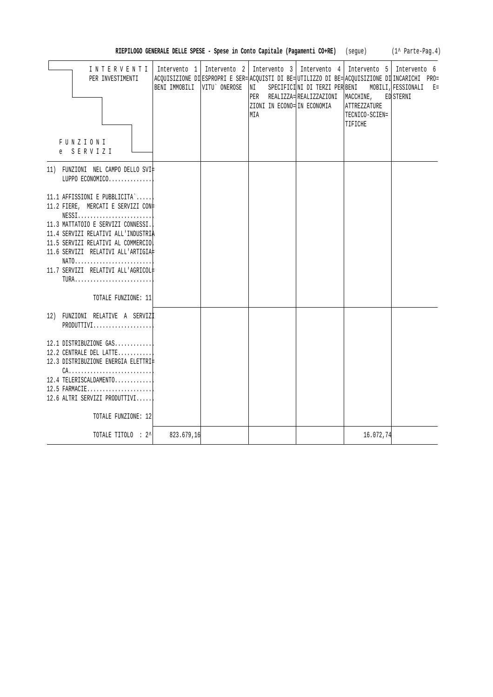|                                                                                                                                                                                                                                                                                                                                                                       |                             |                                                                                                                                      |                                                             |                                                               | RIEPILOGO GENERALE DELLE SPESE - Spese in Conto Capitale (Pagamenti CO+RE) (segue) (1^ Parte-Pag.4)                                  |
|-----------------------------------------------------------------------------------------------------------------------------------------------------------------------------------------------------------------------------------------------------------------------------------------------------------------------------------------------------------------------|-----------------------------|--------------------------------------------------------------------------------------------------------------------------------------|-------------------------------------------------------------|---------------------------------------------------------------|--------------------------------------------------------------------------------------------------------------------------------------|
| INTERVENTI<br>PER INVESTIMENTI<br><b>FUNZIONI</b><br>e SERVIZI                                                                                                                                                                                                                                                                                                        | BENI IMMOBILI VITU' ONEROSE | Intervento 1   Intervento 2   Intervento 3   Intervento 4   Intervento 5   Intervento 6<br> NI<br>ZIONI IN ECONO= IN ECONOMIA<br>MIA | SPECIFICINI DI TERZI PER BENI<br>PER REALIZZA=REALIZZAZIONI | MACCHINE,<br><b>ATTREZZATURE</b><br>TECNICO-SCIEN=<br>TIFICHE | ACQUISIZIONE DI ESPROPRI E SER= ACQUISTI DI BE= UTILIZZO DI BE= ACQUISIZIONE DI INCARICHI PRO=<br>MOBILI, FESSIONALI E=<br>ED STERNI |
| 11) FUNZIONI NEL CAMPO DELLO SVI‡<br>LUPPO ECONOMICO                                                                                                                                                                                                                                                                                                                  |                             |                                                                                                                                      |                                                             |                                                               |                                                                                                                                      |
| 11.1 AFFISSIONI E PUBBLICITA`<br>11.2 FIERE, MERCATI E SERVIZI CON+<br>$NESS1, \ldots, \ldots, \ldots, \ldots, \ldots, \ldots,$<br>11.3 MATTATOIO E SERVIZI CONNESSI.<br>11.4 SERVIZI RELATIVI ALL'INDUSTRIA<br>11.5 SERVIZI RELATIVI AL COMMERCIO<br>11.6 SERVIZI RELATIVI ALL'ARTIGIA#<br>NATO<br>11.7 SERVIZI RELATIVI ALL'AGRICOL#<br>TURA<br>TOTALE FUNZIONE: 11 |                             |                                                                                                                                      |                                                             |                                                               |                                                                                                                                      |
|                                                                                                                                                                                                                                                                                                                                                                       |                             |                                                                                                                                      |                                                             |                                                               |                                                                                                                                      |
| 12) FUNZIONI RELATIVE A SERVIZI<br>PRODUTTIVI                                                                                                                                                                                                                                                                                                                         |                             |                                                                                                                                      |                                                             |                                                               |                                                                                                                                      |
| 12.1 DISTRIBUZIONE GAS<br>12.2 CENTRALE DEL LATTE<br>12.3 DISTRIBUZIONE ENERGIA ELETTRI#<br>$CA.$<br>12.4 TELERISCALDAMENTO<br>$12.5$ FARMACIE<br>12.6 ALTRI SERVIZI PRODUTTIVI<br>TOTALE FUNZIONE: 12                                                                                                                                                                |                             |                                                                                                                                      |                                                             |                                                               |                                                                                                                                      |
| TOTALE TITOLO : 2^                                                                                                                                                                                                                                                                                                                                                    | 823.679,16                  |                                                                                                                                      |                                                             | 16.072,74                                                     |                                                                                                                                      |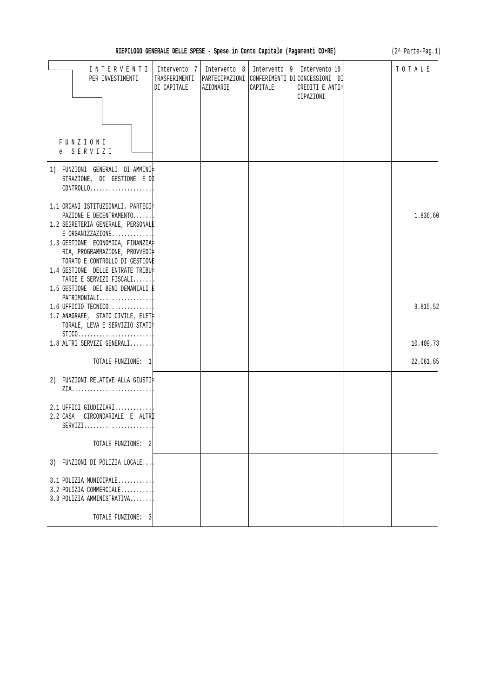| (2^ Parte-Pag.1)<br>RIEPILOGO GENERALE DELLE SPESE - Spese in Conto Capitale (Pagamenti CO+RE)                          |                                              |                           |                          |                                                                                                |  |           |
|-------------------------------------------------------------------------------------------------------------------------|----------------------------------------------|---------------------------|--------------------------|------------------------------------------------------------------------------------------------|--|-----------|
| INTERVENTI<br>PER INVESTIMENTI<br>FUNZIONI                                                                              | Intervento 7<br>TRASFERIMENTI<br>DI CAPITALE | Intervento 8<br>AZIONARIE | Intervento 9<br>CAPITALE | Intervento 10<br>PARTECIPAZIONI CONFERIMENTI DI CONCESSIONI DI<br>CREDITI E ANTI=<br>CIPAZIONI |  | TOTALE    |
| e SERVIZI                                                                                                               |                                              |                           |                          |                                                                                                |  |           |
| 1) FUNZIONI GENERALI DI AMMINI‡<br>STRAZIONE, DI GESTIONE E DI<br>$CONTROLLO. \ldots \ldots \ldots \ldots \ldots$       |                                              |                           |                          |                                                                                                |  |           |
| 1.1 ORGANI ISTITUZIONALI, PARTECI‡<br>PAZIONE E DECENTRAMENTO<br>1.2 SEGRETERIA GENERALE, PERSONALE<br>E ORGANIZZAZIONE |                                              |                           |                          |                                                                                                |  | 1.836,60  |
| 1.3 GESTIONE ECONOMICA, FINANZIA<br>RIA, PROGRAMMAZIONE, PROVVEDI‡<br>TORATO E CONTROLLO DI GESTIONE                    |                                              |                           |                          |                                                                                                |  |           |
| 1.4 GESTIONE DELLE ENTRATE TRIBU‡<br>TARIE E SERVIZI FISCALI<br>1.5 GESTIONE DEI BENI DEMANIALI È<br>PATRIMONIALI       |                                              |                           |                          |                                                                                                |  |           |
| $1.6$ UFFICIO TECNICO<br>1.7 ANAGRAFE, STATO CIVILE, ELET<br>TORALE, LEVA E SERVIZIO STATI‡                             |                                              |                           |                          |                                                                                                |  | 9.815,52  |
| $STICO. \ldots \ldots \ldots \ldots \ldots \ldots \ldots \ldots$<br>1.8 ALTRI SERVIZI GENERALI                          |                                              |                           |                          |                                                                                                |  | 10.409,73 |
| TOTALE FUNZIONE: 1                                                                                                      |                                              |                           |                          |                                                                                                |  | 22.061,85 |
| 2) FUNZIONI RELATIVE ALLA GIUSTI‡                                                                                       |                                              |                           |                          |                                                                                                |  |           |
| $2.1$ UFFICI GIUDIZIARI<br>2.2 CASA<br>CIRCONDARIALE E ALTRI<br>$SERVIZI.$                                              |                                              |                           |                          |                                                                                                |  |           |
| TOTALE FUNZIONE: 2                                                                                                      |                                              |                           |                          |                                                                                                |  |           |
| 3) FUNZIONI DI POLIZIA LOCALE                                                                                           |                                              |                           |                          |                                                                                                |  |           |
| 3.1 POLIZIA MUNICIPALE<br>3.2 POLIZIA COMMERCIALE<br>3.3 POLIZIA AMMINISTRATIVA                                         |                                              |                           |                          |                                                                                                |  |           |
| TOTALE FUNZIONE: 3                                                                                                      |                                              |                           |                          |                                                                                                |  |           |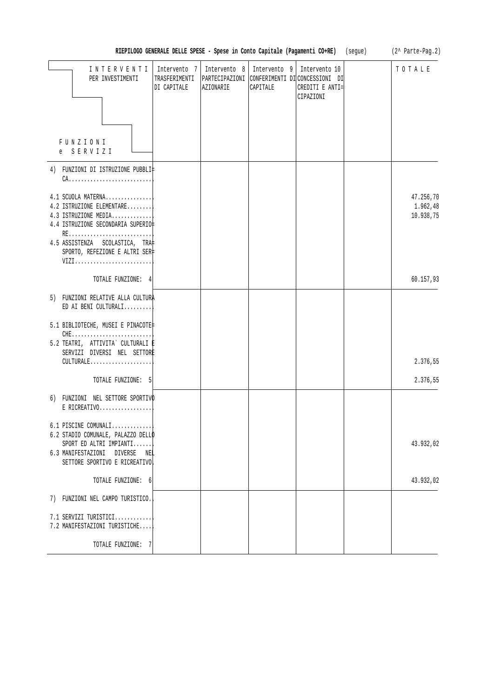|                                                                                                                                                                                        |                                              |                           |                          | RIEPILOGO GENERALE DELLE SPESE - Spese in Conto Capitale (Pagamenti CO+RE) (segue)            | (2^ Parte-Pag.2)                   |
|----------------------------------------------------------------------------------------------------------------------------------------------------------------------------------------|----------------------------------------------|---------------------------|--------------------------|-----------------------------------------------------------------------------------------------|------------------------------------|
| INTERVENTI<br>PER INVESTIMENTI<br>FUNZIONI<br>SERVIZI<br>e                                                                                                                             | Intervento 7<br>TRASFERIMENTI<br>DI CAPITALE | Intervento 8<br>AZIONARIE | Intervento 9<br>CAPITALE | Intervento 10<br>PARTECIPAZIONI CONFERIMENTI DICONCESSIONI DI<br>CREDITI E ANTI=<br>CIPAZIONI | TOTALE                             |
| 4) FUNZIONI DI ISTRUZIONE PUBBLI‡                                                                                                                                                      |                                              |                           |                          |                                                                                               |                                    |
| $CA.$                                                                                                                                                                                  |                                              |                           |                          |                                                                                               |                                    |
| 4.1 SCUOLA MATERNA<br>4.2 ISTRUZIONE ELEMENTARE<br>4.3 ISTRUZIONE MEDIA<br>4.4 ISTRUZIONE SECONDARIA SUPERIO<br>RE<br>4.5 ASSISTENZA SCOLASTICA, TRA<br>SPORTO, REFEZIONE E ALTRI SER‡ |                                              |                           |                          |                                                                                               | 47.256,70<br>1.962,48<br>10.938,75 |
| VIZI                                                                                                                                                                                   |                                              |                           |                          |                                                                                               |                                    |
| TOTALE FUNZIONE: 4                                                                                                                                                                     |                                              |                           |                          |                                                                                               | 60.157,93                          |
| 5) FUNZIONI RELATIVE ALLA CULTURA<br>ED AI BENI CULTURALI<br>5.1 BIBLIOTECHE, MUSEI E PINACOTE                                                                                         |                                              |                           |                          |                                                                                               |                                    |
| 5.2 TEATRI, ATTIVITA` CULTURALI ‡<br>SERVIZI DIVERSI NEL SETTORE<br>CULTURALE                                                                                                          |                                              |                           |                          |                                                                                               | 2.376,55                           |
| TOTALE FUNZIONE: 5                                                                                                                                                                     |                                              |                           |                          |                                                                                               | 2.376,55                           |
| 6) FUNZIONI NEL SETTORE SPORTIVO<br>$E$ RICREATIVO                                                                                                                                     |                                              |                           |                          |                                                                                               |                                    |
| 6.1 PISCINE COMUNALI<br>6.2 STADIO COMUNALE, PALAZZO DELLO<br>SPORT ED ALTRI IMPIANTI<br>6.3 MANIFESTAZIONI DIVERSE<br>NEL<br>SETTORE SPORTIVO E RICREATIVO                            |                                              |                           |                          |                                                                                               | 43.932,02                          |
| TOTALE FUNZIONE: 6                                                                                                                                                                     |                                              |                           |                          |                                                                                               | 43.932,02                          |
| 7) FUNZIONI NEL CAMPO TURISTICO.                                                                                                                                                       |                                              |                           |                          |                                                                                               |                                    |
| 7.1 SERVIZI TURISTICI<br>7.2 MANIFESTAZIONI TURISTICHE                                                                                                                                 |                                              |                           |                          |                                                                                               |                                    |
| TOTALE FUNZIONE: 7                                                                                                                                                                     |                                              |                           |                          |                                                                                               |                                    |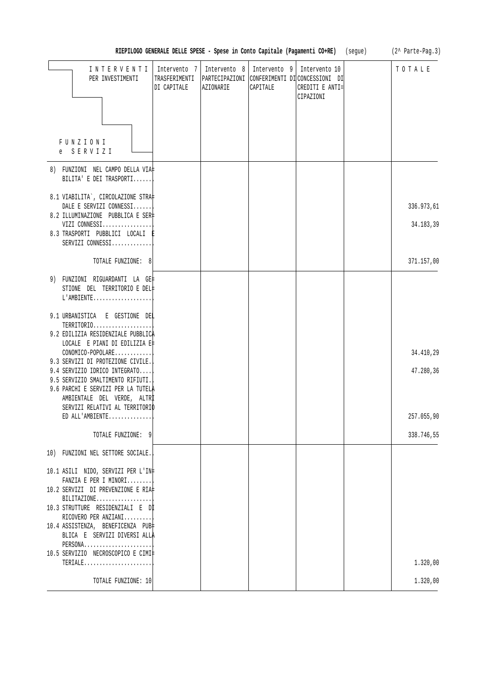|                                                                                                                                                                              | RIEPILOGO GENERALE DELLE SPESE - Spese in Conto Capitale (Pagamenti CO+RE) (segue) |           |                                           |                                                                                                | (2^ Parte-Pag.3) |
|------------------------------------------------------------------------------------------------------------------------------------------------------------------------------|------------------------------------------------------------------------------------|-----------|-------------------------------------------|------------------------------------------------------------------------------------------------|------------------|
| INTERVENTI<br>PER INVESTIMENTI                                                                                                                                               | Intervento 7<br>TRASFERIMENTI<br>DI CAPITALE                                       | AZIONARIE | Intervento 8   Intervento 9  <br>CAPITALE | Intervento 10<br>PARTECIPAZIONI CONFERIMENTI DI CONCESSIONI DI<br>CREDITI E ANTI=<br>CIPAZIONI | TOTALE           |
| FUNZIONI<br>e SERVIZI                                                                                                                                                        |                                                                                    |           |                                           |                                                                                                |                  |
| 8) FUNZIONI NEL CAMPO DELLA VIA‡<br>BILITA' E DEI TRASPORTI                                                                                                                  |                                                                                    |           |                                           |                                                                                                |                  |
| 8.1 VIABILITA`, CIRCOLAZIONE STRA‡<br>DALE E SERVIZI CONNESSI<br>8.2 ILLUMINAZIONE PUBBLICA E SER‡                                                                           |                                                                                    |           |                                           |                                                                                                | 336.973,61       |
| VIZI CONNESSI<br>8.3 TRASPORTI PUBBLICI LOCALI E<br>SERVIZI CONNESSI                                                                                                         |                                                                                    |           |                                           |                                                                                                | 34.183,39        |
| TOTALE FUNZIONE: 8                                                                                                                                                           |                                                                                    |           |                                           |                                                                                                | 371.157,00       |
| 9) FUNZIONI RIGUARDANTI LA GE‡<br>STIONE DEL TERRITORIO E DEL‡<br>$L'AMBIENTE$                                                                                               |                                                                                    |           |                                           |                                                                                                |                  |
| 9.1 URBANISTICA E GESTIONE DEL<br>TERRITORIO<br>9.2 EDILIZIA RESIDENZIALE PUBBLICA                                                                                           |                                                                                    |           |                                           |                                                                                                |                  |
| LOCALE E PIANI DI EDILIZIA E‡<br>CONOMICO-POPOLARE                                                                                                                           |                                                                                    |           |                                           |                                                                                                | 34.410,29        |
| 9.3 SERVIZI DI PROTEZIONE CIVILE.<br>9.4 SERVIZIO IDRICO INTEGRATO<br>9.5 SERVIZIO SMALTIMENTO RIFIUTI.<br>9.6 PARCHI E SERVIZI PER LA TUTELA<br>AMBIENTALE DEL VERDE, ALTRI |                                                                                    |           |                                           |                                                                                                | 47.280,36        |
| SERVIZI RELATIVI AL TERRITORIO<br>ED ALL'AMBIENTE                                                                                                                            |                                                                                    |           |                                           |                                                                                                | 257.055,90       |
|                                                                                                                                                                              |                                                                                    |           |                                           |                                                                                                |                  |
| TOTALE FUNZIONE: 9                                                                                                                                                           |                                                                                    |           |                                           |                                                                                                | 338.746,55       |
| 10) FUNZIONI NEL SETTORE SOCIALE.                                                                                                                                            |                                                                                    |           |                                           |                                                                                                |                  |
| 10.1 ASILI NIDO, SERVIZI PER L'IN‡<br>FANZIA E PER I MINORI                                                                                                                  |                                                                                    |           |                                           |                                                                                                |                  |
| 10.2 SERVIZI DI PREVENZIONE E RIA‡                                                                                                                                           |                                                                                    |           |                                           |                                                                                                |                  |
| $BILITAZIONE$<br>10.3 STRUTTURE RESIDENZIALI E Dİ<br>RICOVERO PER ANZIANI                                                                                                    |                                                                                    |           |                                           |                                                                                                |                  |
| 10.4 ASSISTENZA, BENEFICENZA PUB<br>BLICA E SERVIZI DIVERSI ALLA                                                                                                             |                                                                                    |           |                                           |                                                                                                |                  |
| PERSONA<br>10.5 SERVIZIO NECROSCOPICO E CIMI‡<br>TERIALE                                                                                                                     |                                                                                    |           |                                           |                                                                                                | 1.320,00         |
| TOTALE FUNZIONE: 10                                                                                                                                                          |                                                                                    |           |                                           |                                                                                                | 1.320,00         |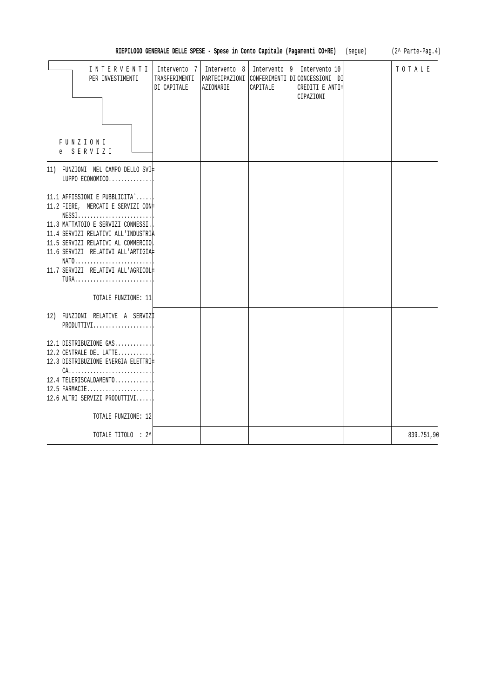|                                                                                                                                                                                                                                                                                          | RIEPILOGO GENERALE DELLE SPESE - Spese in Conto Capitale (Pagamenti CO+RE) |                           |                          |                                                                                                | (seque) (2^ Parte-Pag.4) |
|------------------------------------------------------------------------------------------------------------------------------------------------------------------------------------------------------------------------------------------------------------------------------------------|----------------------------------------------------------------------------|---------------------------|--------------------------|------------------------------------------------------------------------------------------------|--------------------------|
| INTERVENTI<br>PER INVESTIMENTI                                                                                                                                                                                                                                                           | Intervento 7<br>TRASFERIMENTI  <br>DI CAPITALE                             | Intervento 8<br>AZIONARIE | Intervento 9<br>CAPITALE | Intervento 10<br>PARTECIPAZIONI CONFERIMENTI DI CONCESSIONI DI<br>CREDITI E ANTI=<br>CIPAZIONI | TOTALE                   |
|                                                                                                                                                                                                                                                                                          |                                                                            |                           |                          |                                                                                                |                          |
| FUNZIONI<br>e SERVIZI                                                                                                                                                                                                                                                                    |                                                                            |                           |                          |                                                                                                |                          |
| 11) FUNZIONI NEL CAMPO DELLO SVI‡<br>LUPPO ECONOMICO                                                                                                                                                                                                                                     |                                                                            |                           |                          |                                                                                                |                          |
| 11.1 AFFISSIONI E PUBBLICITA`<br>11.2 FIERE, MERCATI E SERVIZI CON#<br>$NESS1, \ldots, \ldots, \ldots, \ldots, \ldots, \ldots,$<br>11.3 MATTATOIO E SERVIZI CONNESSI.<br>11.4 SERVIZI RELATIVI ALL'INDUSTRIA<br>11.5 SERVIZI RELATIVI AL COMMERCIO<br>11.6 SERVIZI RELATIVI ALL'ARTIGIA# |                                                                            |                           |                          |                                                                                                |                          |
| NATO<br>11.7 SERVIZI RELATIVI ALL'AGRICOL#<br>TURA                                                                                                                                                                                                                                       |                                                                            |                           |                          |                                                                                                |                          |
| TOTALE FUNZIONE: 11                                                                                                                                                                                                                                                                      |                                                                            |                           |                          |                                                                                                |                          |
| 12) FUNZIONI RELATIVE A SERVIZI<br>PRODUTTIVI                                                                                                                                                                                                                                            |                                                                            |                           |                          |                                                                                                |                          |
| 12.1 DISTRIBUZIONE GAS<br>12.2 CENTRALE DEL LATTE<br>12.3 DISTRIBUZIONE ENERGIA ELETTRI‡<br>$CA.$                                                                                                                                                                                        |                                                                            |                           |                          |                                                                                                |                          |
| 12.4 TELERISCALDAMENTO<br>12.5 FARMACIE<br>12.6 ALTRI SERVIZI PRODUTTIVI                                                                                                                                                                                                                 |                                                                            |                           |                          |                                                                                                |                          |
| TOTALE FUNZIONE: 12                                                                                                                                                                                                                                                                      |                                                                            |                           |                          |                                                                                                |                          |
| TOTALE TITOLO : 2^                                                                                                                                                                                                                                                                       |                                                                            |                           |                          |                                                                                                | 839.751,90               |